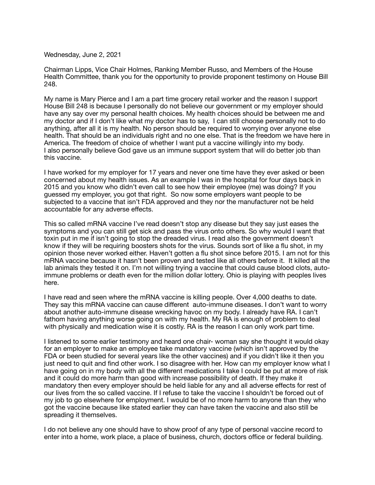Wednesday, June 2, 2021

Chairman Lipps, Vice Chair Holmes, Ranking Member Russo, and Members of the House Health Committee, thank you for the opportunity to provide proponent testimony on House Bill 248.

My name is Mary Pierce and I am a part time grocery retail worker and the reason I support House Bill 248 is because I personally do not believe our government or my employer should have any say over my personal health choices. My health choices should be between me and my doctor and if I don't like what my doctor has to say, I can still choose personally not to do anything, after all it is my health. No person should be required to worrying over anyone else health. That should be an individuals right and no one else. That is the freedom we have here in America. The freedom of choice of whether I want put a vaccine willingly into my body. I also personally believe God gave us an immune support system that will do better job than this vaccine.

I have worked for my employer for 17 years and never one time have they ever asked or been concerned about my health issues. As an example I was in the hospital for four days back in 2015 and you know who didn't even call to see how their employee (me) was doing? If you guessed my employer, you got that right. So now some employers want people to be subjected to a vaccine that isn't FDA approved and they nor the manufacturer not be held accountable for any adverse effects.

This so called mRNA vaccine I've read doesn't stop any disease but they say just eases the symptoms and you can still get sick and pass the virus onto others. So why would I want that toxin put in me if isn't going to stop the dreaded virus. I read also the government doesn't know if they will be requiring boosters shots for the virus. Sounds sort of like a flu shot, in my opinion those never worked either. Haven't gotten a flu shot since before 2015. I am not for this mRNA vaccine because it hasn't been proven and tested like all others before it. It killed all the lab animals they tested it on. I'm not willing trying a vaccine that could cause blood clots, autoimmune problems or death even for the million dollar lottery. Ohio is playing with peoples lives here.

I have read and seen where the mRNA vaccine is killing people. Over 4,000 deaths to date. They say this mRNA vaccine can cause different auto-immune diseases. I don't want to worry about another auto-immune disease wrecking havoc on my body. I already have RA. I can't fathom having anything worse going on with my health. My RA is enough of problem to deal with physically and medication wise it is costly. RA is the reason I can only work part time.

I listened to some earlier testimony and heard one chair- woman say she thought it would okay for an employer to make an employee take mandatory vaccine (which isn't approved by the FDA or been studied for several years like the other vaccines) and if you didn't like it then you just need to quit and find other work. I so disagree with her. How can my employer know what I have going on in my body with all the different medications I take I could be put at more of risk and it could do more harm than good with increase possibility of death. If they make it mandatory then every employer should be held liable for any and all adverse effects for rest of our lives from the so called vaccine. If I refuse to take the vaccine I shouldn't be forced out of my job to go elsewhere for employment. I would be of no more harm to anyone than they who got the vaccine because like stated earlier they can have taken the vaccine and also still be spreading it themselves.

I do not believe any one should have to show proof of any type of personal vaccine record to enter into a home, work place, a place of business, church, doctors office or federal building.